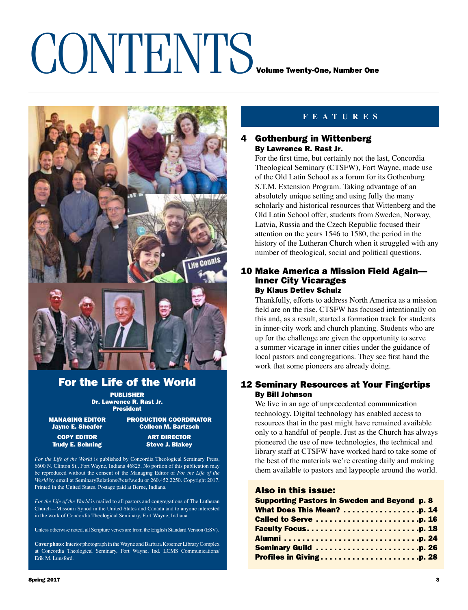## CONTENTS VOLUME TWENTY-ONE, Number One



### For the Life of the World

PUBLISHER Dr. Lawrence R. Rast Jr. President

managing EDITOR production COORDINATOR

Jayne E. Sheafer Colleen M. Bartzsch COPY
EDITOR **ART DIRECTOR ART DIRECTOR** 

Trudy E. Behning Steve J. Blakey

*For the Life of the World* is published by Concordia Theological Seminary Press, 6600 N. Clinton St., Fort Wayne, Indiana 46825. No portion of this publication may be reproduced without the consent of the Managing Editor of *For the Life of the World* by email at SeminaryRelations@ctsfw.edu or 260.452.2250. Copyright 2017. Printed in the United States. Postage paid at Berne, Indiana.

*For the Life of the World* is mailed to all pastors and congregations of The Lutheran Church—Missouri Synod in the United States and Canada and to anyone interested in the work of Concordia Theological Seminary, Fort Wayne, Indiana.

Unless otherwise noted, all Scripture verses are from the English Standard Version (ESV).

**Cover photo:** Interior photograph in the Wayne and Barbara Kroemer Library Complex at Concordia Theological Seminary, Fort Wayne, Ind. LCMS Communications/ Erik M. Lunsford.

### **features**

### 4 Gothenburg in Wittenberg By Lawrence R. Rast Jr.

For the first time, but certainly not the last, Concordia Theological Seminary (CTSFW), Fort Wayne, made use of the Old Latin School as a forum for its Gothenburg S.T.M. Extension Program. Taking advantage of an absolutely unique setting and using fully the many scholarly and historical resources that Wittenberg and the Old Latin School offer, students from Sweden, Norway, Latvia, Russia and the Czech Republic focused their attention on the years 1546 to 1580, the period in the history of the Lutheran Church when it struggled with any number of theological, social and political questions.

### 10 Make America a Mission Field Again— Inner City Vicarages By Klaus Detlev Schulz

Thankfully, efforts to address North America as a mission field are on the rise. CTSFW has focused intentionally on this and, as a result, started a formation track for students in inner-city work and church planting. Students who are up for the challenge are given the opportunity to serve a summer vicarage in inner cities under the guidance of local pastors and congregations. They see first hand the work that some pioneers are already doing.

### 12 Seminary Resources at Your Fingertips By Bill Johnson

We live in an age of unprecedented communication technology. Digital technology has enabled access to resources that in the past might have remained available only to a handful of people. Just as the Church has always pioneered the use of new technologies, the technical and library staff at CTSFW have worked hard to take some of the best of the materials we're creating daily and making them available to pastors and laypeople around the world.

### Also in this issue:

| Supporting Pastors in Sweden and Beyond p. 8 |  |
|----------------------------------------------|--|
|                                              |  |
| Called to Serve p. 16                        |  |
|                                              |  |
|                                              |  |
| <b>Seminary Guild p. 26</b>                  |  |
| Profiles in Givingp. 28                      |  |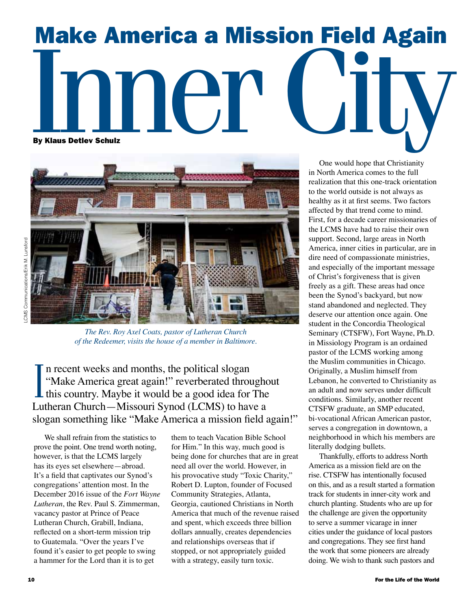### Make America a Mission Field Again Indica a Mission Field Again By Klaus Detlev Schulz



*The Rev. Roy Axel Coats, pastor of Lutheran Church of the Redeemer, visits the house of a member in Baltimore.* 

I n recent weeks and months, the political slogan "Make America great again!" reverberated throughout I this country. Maybe it would be a good idea for The Lutheran Church—Missouri Synod (LCMS) to have a slogan something like "Make America a mission field again!"

We shall refrain from the statistics to prove the point. One trend worth noting, however, is that the LCMS largely has its eyes set elsewhere—abroad. It's a field that captivates our Synod's congregations' attention most. In the December 2016 issue of the *Fort Wayne Lutheran*, the Rev. Paul S. Zimmerman, vacancy pastor at Prince of Peace Lutheran Church, Grabill, Indiana, reflected on a short-term mission trip to Guatemala. "Over the years I've found it's easier to get people to swing a hammer for the Lord than it is to get

them to teach Vacation Bible School for Him." In this way, much good is being done for churches that are in great need all over the world. However, in his provocative study "Toxic Charity," Robert D. Lupton, founder of Focused Community Strategies, Atlanta, Georgia, cautioned Christians in North America that much of the revenue raised and spent, which exceeds three billion dollars annually, creates dependencies and relationships overseas that if stopped, or not appropriately guided with a strategy, easily turn toxic.

One would hope that Christianity in North America comes to the full realization that this one-track orientation to the world outside is not always as healthy as it at first seems. Two factors affected by that trend come to mind. First, for a decade career missionaries of the LCMS have had to raise their own support. Second, large areas in North America, inner cities in particular, are in dire need of compassionate ministries, and especially of the important message of Christ's forgiveness that is given freely as a gift. These areas had once been the Synod's backyard, but now stand abandoned and neglected. They deserve our attention once again. One student in the Concordia Theological Seminary (CTSFW), Fort Wayne, Ph.D. in Missiology Program is an ordained pastor of the LCMS working among the Muslim communities in Chicago. Originally, a Muslim himself from Lebanon, he converted to Christianity as an adult and now serves under difficult conditions. Similarly, another recent CTSFW graduate, an SMP educated, bi-vocational African American pastor, serves a congregation in downtown, a neighborhood in which his members are literally dodging bullets.

Thankfully, efforts to address North America as a mission field are on the rise. CTSFW has intentionally focused on this, and as a result started a formation track for students in inner-city work and church planting. Students who are up for the challenge are given the opportunity to serve a summer vicarage in inner cities under the guidance of local pastors and congregations. They see first hand the work that some pioneers are already doing. We wish to thank such pastors and